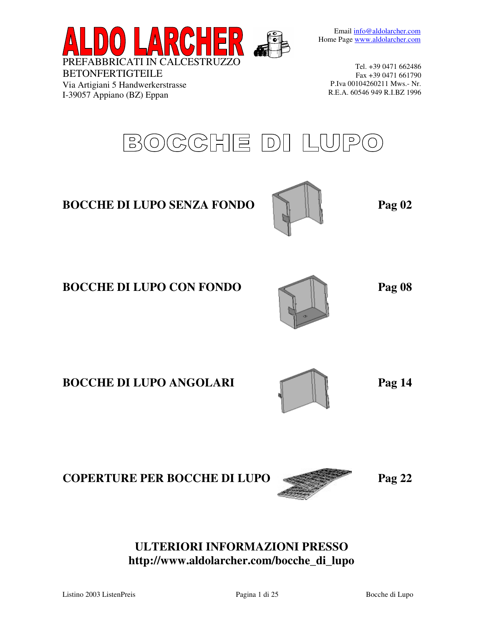Email info@aldolarcher.com Home Page www.aldolarcher.com



Via Artigiani 5 Handwerkerstrasse I-39057 Appiano (BZ) Eppan

Tel. +39 0471 662486 Fax +39 0471 661790 P.Iva 00104260211 Mws.- Nr. R.E.A. 60546 949 R.I.BZ 1996



# **ULTERIORI INFORMAZIONI PRESSO http://www.aldolarcher.com/bocche\_di\_lupo**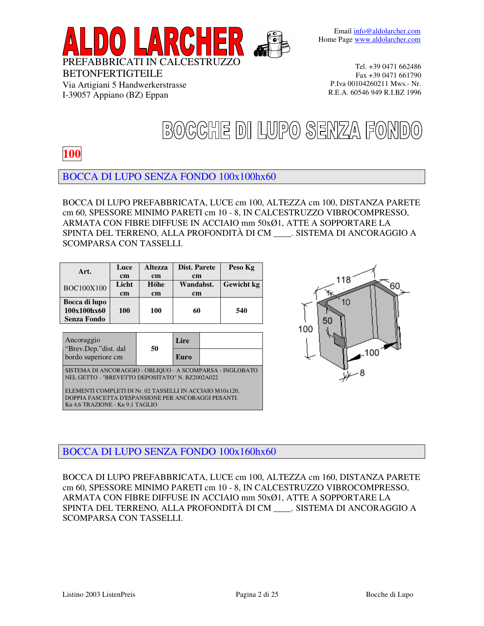



Via Artigiani 5 Handwerkerstrasse I-39057 Appiano (BZ) Eppan

Tel. +39 0471 662486 Fax +39 0471 661790 P.Iva 00104260211 Mws.- Nr. R.E.A. 60546 949 R.I.BZ 1996

# BOCCHE DI LUPO SENZA FONDO

## **100**

BOCCA DI LUPO SENZA FONDO 100x100hx60

BOCCA DI LUPO PREFABBRICATA, LUCE cm 100, ALTEZZA cm 100, DISTANZA PARETE cm 60, SPESSORE MINIMO PARETI cm 10 - 8, IN CALCESTRUZZO VIBROCOMPRESSO, ARMATA CON FIBRE DIFFUSE IN ACCIAIO mm 50xØ1, ATTE A SOPPORTARE LA SPINTA DEL TERRENO, ALLA PROFONDITÀ DI CM \_\_\_\_. SISTEMA DI ANCORAGGIO A SCOMPARSA CON TASSELLI.

| Licht<br>Höhe<br>Wandabst.<br><b>BOC100X100</b><br><sub>cm</sub><br><sub>cm</sub><br><sub>cm</sub><br>Bocca di lupo<br>100x100hx60<br>540<br>100<br>100<br>60 | Art.               | Luce<br><sub>cm</sub> | <b>Altezza</b><br><sub>cm</sub> | Dist. Parete<br><sub>cm</sub> | Peso Kg           |
|---------------------------------------------------------------------------------------------------------------------------------------------------------------|--------------------|-----------------------|---------------------------------|-------------------------------|-------------------|
|                                                                                                                                                               |                    |                       |                                 |                               | <b>Gewicht</b> kg |
|                                                                                                                                                               | <b>Senza Fondo</b> |                       |                                 |                               |                   |

|                                                                                                              | Lire |                                                                                                                                                                                                                                                                                                                                                                            |  |  |  |
|--------------------------------------------------------------------------------------------------------------|------|----------------------------------------------------------------------------------------------------------------------------------------------------------------------------------------------------------------------------------------------------------------------------------------------------------------------------------------------------------------------------|--|--|--|
|                                                                                                              | Euro |                                                                                                                                                                                                                                                                                                                                                                            |  |  |  |
| SISTEMA DI ANCORAGGIO - OBLIQUO - A SCOMPARSA - INGLOBATO<br>NEL GETTO - "BREVETTO DEPOSITATO" N. BZ2002A022 |      |                                                                                                                                                                                                                                                                                                                                                                            |  |  |  |
|                                                                                                              | 50   | $0.2 \text{ m}$ $1.00 \text{ m}$ $\overline{Y}$ $\overline{Y}$ $\overline{Y}$ $\overline{Y}$ $\overline{Y}$ $\overline{Y}$ $\overline{Y}$ $\overline{Y}$ $\overline{Y}$ $\overline{Y}$ $\overline{Y}$ $\overline{Y}$ $\overline{Y}$ $\overline{Y}$ $\overline{Y}$ $\overline{Y}$ $\overline{Y}$ $\overline{Y}$ $\overline{Y}$ $\overline{Y}$ $\overline{Y}$ $\overline{Y}$ |  |  |  |

ELEMENTI COMPLETI DI Nr. 02 TASSELLI IN ACCIAIO M10x120, DOPPIA FASCETTA D'ESPANSIONE PER ANCORAGGI PESANTI. Kn 4,6 TRAZIONE - Kn 9,1 TAGLIO



## BOCCA DI LUPO SENZA FONDO 100x160hx60

BOCCA DI LUPO PREFABBRICATA, LUCE cm 100, ALTEZZA cm 160, DISTANZA PARETE cm 60, SPESSORE MINIMO PARETI cm 10 - 8, IN CALCESTRUZZO VIBROCOMPRESSO, ARMATA CON FIBRE DIFFUSE IN ACCIAIO mm 50xØ1, ATTE A SOPPORTARE LA SPINTA DEL TERRENO, ALLA PROFONDITÀ DI CM \_\_\_\_. SISTEMA DI ANCORAGGIO A SCOMPARSA CON TASSELLI.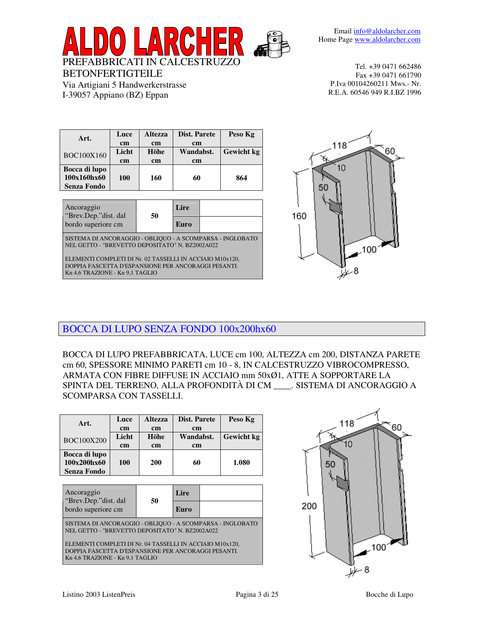

| Art.               | Luce  | <b>Dist. Parete</b><br><b>Altezza</b> |               | Peso Kg           |
|--------------------|-------|---------------------------------------|---------------|-------------------|
|                    | cm    | <sub>cm</sub>                         | <sub>cm</sub> |                   |
| <b>BOC100X160</b>  | Licht | Höhe                                  | Wandabst.     | <b>Gewicht</b> kg |
|                    | cm    | <sub>cm</sub>                         | <sub>cm</sub> |                   |
| Bocca di lupo      |       |                                       |               |                   |
| 100x160hx60        | 100   | 160                                   | 60            | 864               |
| <b>Senza Fondo</b> |       |                                       |               |                   |
|                    |       |                                       |               |                   |

BETONFERTIGTEILE

Via Artigiani 5 Handwerkerstrasse I-39057 Appiano (BZ) Eppan

| Ancoraggio<br>"Brev.Dep."dist. dal                                                                           | 50 | Lire |  |  |  |
|--------------------------------------------------------------------------------------------------------------|----|------|--|--|--|
| bordo superiore cm                                                                                           |    | Euro |  |  |  |
| SISTEMA DI ANCORAGGIO - OBLIQUO - A SCOMPARSA - INGLOBATO<br>NEL GETTO - "BREVETTO DEPOSITATO" N. BZ2002A022 |    |      |  |  |  |
| ELEMENTI COMPLETI DI Nr. 02 TASSELLI IN ACCIAIO M10x120,                                                     |    |      |  |  |  |
| DOPPIA FASCETTA D'ESPANSIONE PER ANCORAGGI PESANTI.                                                          |    |      |  |  |  |
| Kn 4,6 TRAZIONE - Kn 9,1 TAGLIO                                                                              |    |      |  |  |  |



BOCCA DI LUPO SENZA FONDO 100x200hx60

BOCCA DI LUPO PREFABBRICATA, LUCE cm 100, ALTEZZA cm 200, DISTANZA PARETE cm 60, SPESSORE MINIMO PARETI cm 10 - 8, IN CALCESTRUZZO VIBROCOMPRESSO, ARMATA CON FIBRE DIFFUSE IN ACCIAIO mm 50xØ1, ATTE A SOPPORTARE LA SPINTA DEL TERRENO, ALLA PROFONDITÀ DI CM \_\_\_\_. SISTEMA DI ANCORAGGIO A SCOMPARSA CON TASSELLI.

| Art.                                               | Luce<br>cm  | <b>Altezza</b><br><sub>cm</sub> | Dist. Parete<br><sub>cm</sub> | Peso Kg           |
|----------------------------------------------------|-------------|---------------------------------|-------------------------------|-------------------|
| <b>BOC100X200</b>                                  | Licht<br>cm | Höhe<br><sub>cm</sub>           | Wandabst.<br><sub>cm</sub>    | <b>Gewicht</b> kg |
| Bocca di lupo<br>100x200hx60<br><b>Senza Fondo</b> | 100         | <b>200</b>                      | 60                            | 1.080             |

| Ancoraggio<br>"Brev.Dep."dist. dal                                                                                                                 | 50 | Lire |  |  |
|----------------------------------------------------------------------------------------------------------------------------------------------------|----|------|--|--|
| bordo superiore cm                                                                                                                                 |    | Euro |  |  |
| SISTEMA DI ANCORAGGIO - OBLIQUO - A SCOMPARSA - INGLOBATO<br>NEL GETTO - "BREVETTO DEPOSITATO" N. BZ2002A022                                       |    |      |  |  |
| ELEMENTI COMPLETI DI Nr. 04 TASSELLI IN ACCIAIO M10x120,<br>DOPPIA FASCETTA D'ESPANSIONE PER ANCORAGGI PESANTI.<br>Kn 4,6 TRAZIONE - Kn 9,1 TAGLIO |    |      |  |  |

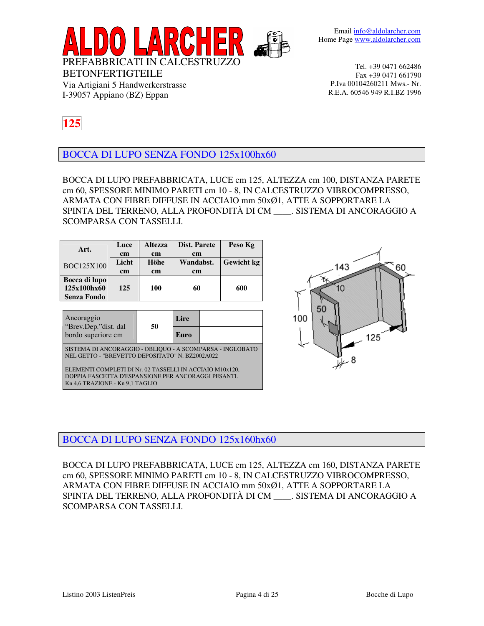

**125**

BETONFERTIGTEILE

Via Artigiani 5 Handwerkerstrasse I-39057 Appiano (BZ) Eppan

BOCCA DI LUPO SENZA FONDO 125x100hx60

BOCCA DI LUPO PREFABBRICATA, LUCE cm 125, ALTEZZA cm 100, DISTANZA PARETE cm 60, SPESSORE MINIMO PARETI cm 10 - 8, IN CALCESTRUZZO VIBROCOMPRESSO, ARMATA CON FIBRE DIFFUSE IN ACCIAIO mm 50xØ1, ATTE A SOPPORTARE LA SPINTA DEL TERRENO, ALLA PROFONDITÀ DI CM \_\_\_\_. SISTEMA DI ANCORAGGIO A SCOMPARSA CON TASSELLI.

| Art.                                               | Luce<br>cm<br>Licht | <b>Altezza</b><br>cm<br>Höhe | Dist. Parete<br>cm<br>Wandabst. | Peso Kg<br><b>Gewicht</b> kg |
|----------------------------------------------------|---------------------|------------------------------|---------------------------------|------------------------------|
| BOC125X100                                         | cm                  | cm                           | cm                              |                              |
| Bocca di lupo<br>125x100hx60<br><b>Senza Fondo</b> | 125                 | 100                          | 60                              | 600                          |
| Ancoraggio<br>"Brev.Dep." dist. dal                |                     | 50                           | Lire                            |                              |
| bordo superiore cm                                 |                     |                              | Euro                            |                              |

SISTEMA DI ANCORAGGIO - OBLIQUO - A SCOMPARSA - INGLOBATO NEL GETTO - "BREVETTO DEPOSITATO" N. BZ2002A022

ELEMENTI COMPLETI DI Nr. 02 TASSELLI IN ACCIAIO M10x120, DOPPIA FASCETTA D'ESPANSIONE PER ANCORAGGI PESANTI. Kn 4,6 TRAZIONE - Kn 9,1 TAGLIO



### BOCCA DI LUPO SENZA FONDO 125x160hx60

BOCCA DI LUPO PREFABBRICATA, LUCE cm 125, ALTEZZA cm 160, DISTANZA PARETE cm 60, SPESSORE MINIMO PARETI cm 10 - 8, IN CALCESTRUZZO VIBROCOMPRESSO, ARMATA CON FIBRE DIFFUSE IN ACCIAIO mm 50xØ1, ATTE A SOPPORTARE LA SPINTA DEL TERRENO, ALLA PROFONDITÀ DI CM \_\_\_\_. SISTEMA DI ANCORAGGIO A SCOMPARSA CON TASSELLI.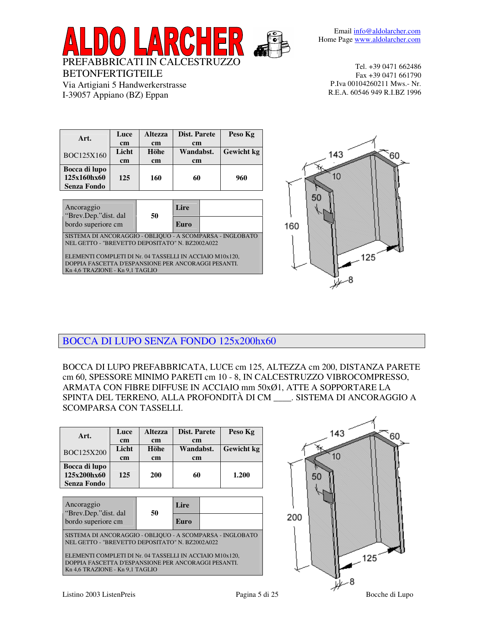

| Art.               | Luce          | <b>Altezza</b> | <b>Dist. Parete</b> | Peso Kg           |
|--------------------|---------------|----------------|---------------------|-------------------|
|                    | <sub>cm</sub> | <sub>cm</sub>  | <sub>cm</sub>       |                   |
| BOC125X160         | Licht         | Höhe           | Wandabst.           | <b>Gewicht</b> kg |
|                    | <sub>cm</sub> | <sub>cm</sub>  | <sub>cm</sub>       |                   |
| Bocca di lupo      |               |                |                     |                   |
| 125x160hx60        | 125           | 160            | 60                  | 960               |
| <b>Senza Fondo</b> |               |                |                     |                   |

BETONFERTIGTEILE

Via Artigiani 5 Handwerkerstrasse I-39057 Appiano (BZ) Eppan

| Ancoraggio<br>"Brev.Dep."dist. dal                                                                              |    | Lire |  |  |
|-----------------------------------------------------------------------------------------------------------------|----|------|--|--|
| bordo superiore cm                                                                                              | 50 | Euro |  |  |
| SISTEMA DI ANCORAGGIO - OBLIQUO - A SCOMPARSA - INGLOBATO<br>NEL GETTO - "BREVETTO DEPOSITATO" N. BZ2002A022    |    |      |  |  |
| ELEMENTI COMPLETI DI Nr. 04 TASSELLI IN ACCIAIO M10x120,<br>DOPPIA FASCETTA D'ESPANSIONE PER ANCORAGGI PESANTI. |    |      |  |  |
| Kn 4,6 TRAZIONE - Kn 9,1 TAGLIO                                                                                 |    |      |  |  |



BOCCA DI LUPO SENZA FONDO 125x200hx60

BOCCA DI LUPO PREFABBRICATA, LUCE cm 125, ALTEZZA cm 200, DISTANZA PARETE cm 60, SPESSORE MINIMO PARETI cm 10 - 8, IN CALCESTRUZZO VIBROCOMPRESSO, ARMATA CON FIBRE DIFFUSE IN ACCIAIO mm 50xØ1, ATTE A SOPPORTARE LA SPINTA DEL TERRENO, ALLA PROFONDITÀ DI CM \_\_\_\_. SISTEMA DI ANCORAGGIO A SCOMPARSA CON TASSELLI.

| Art.<br>BOC125X200                                                                                                                                                                                                                                                 | Luce<br>cm<br>Licht<br>cm | <b>Altezza</b><br>cm<br>Höhe<br>cm | Dist. Parete<br>cm<br>Wandabst.<br>cm |  | Peso Kg<br><b>Gewicht</b> kg |
|--------------------------------------------------------------------------------------------------------------------------------------------------------------------------------------------------------------------------------------------------------------------|---------------------------|------------------------------------|---------------------------------------|--|------------------------------|
| Bocca di lupo<br>125x200hx60<br>Senza Fondo                                                                                                                                                                                                                        | 125                       | <b>200</b>                         | 60                                    |  | 1.200                        |
| Ancoraggio<br>Lire<br>"Brev.Dep." dist. dal<br>50<br>bordo superiore cm<br>Euro                                                                                                                                                                                    |                           |                                    |                                       |  |                              |
| SISTEMA DI ANCORAGGIO - OBLIQUO - A SCOMPARSA - INGLOBATO<br>NEL GETTO - "BREVETTO DEPOSITATO" N. BZ2002A022<br>ELEMENTI COMPLETI DI Nr. 04 TASSELLI IN ACCIAIO M10x120,<br>DOPPIA FASCETTA D'ESPANSIONE PER ANCORAGGI PESANTI.<br>Kn 4,6 TRAZIONE - Kn 9,1 TAGLIO |                           |                                    |                                       |  |                              |

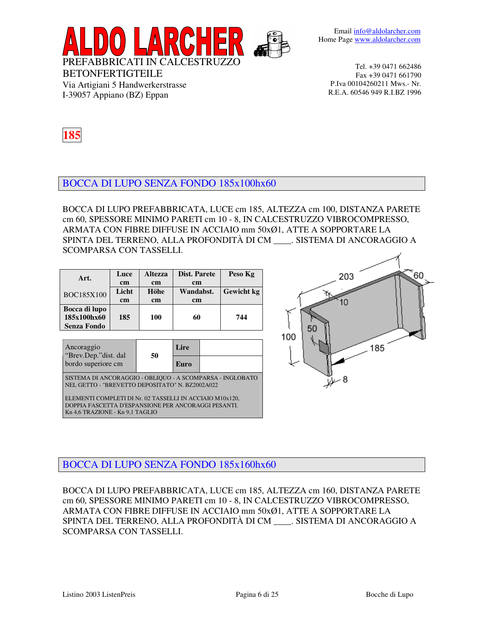

BETONFERTIGTEILE Via Artigiani 5 Handwerkerstrasse I-39057 Appiano (BZ) Eppan



### BOCCA DI LUPO SENZA FONDO 185x100hx60

BOCCA DI LUPO PREFABBRICATA, LUCE cm 185, ALTEZZA cm 100, DISTANZA PARETE cm 60, SPESSORE MINIMO PARETI cm 10 - 8, IN CALCESTRUZZO VIBROCOMPRESSO, ARMATA CON FIBRE DIFFUSE IN ACCIAIO mm 50xØ1, ATTE A SOPPORTARE LA SPINTA DEL TERRENO, ALLA PROFONDITÀ DI CM \_\_\_\_. SISTEMA DI ANCORAGGIO A SCOMPARSA CON TASSELLI.

| Art.                                        | Luce          | <b>Altezza</b> | Dist. Parete  | Peso Kg    |
|---------------------------------------------|---------------|----------------|---------------|------------|
|                                             | cm            | <sub>cm</sub>  | <sub>cm</sub> |            |
| <b>BOC185X100</b>                           | Licht         | Höhe           | Wandabst.     | Gewicht kg |
|                                             | <sub>cm</sub> | cm             | <sub>cm</sub> |            |
| Bocca di lupo<br>185x100hx60<br>Senza Fondo | 185           | 100            | 60            | 744        |

| Ancoraggio<br>"Brev.Dep."dist. dal                                                                           | 50 | Lire |  |  |
|--------------------------------------------------------------------------------------------------------------|----|------|--|--|
| bordo superiore cm                                                                                           |    | Euro |  |  |
| SISTEMA DI ANCORAGGIO - OBLIQUO - A SCOMPARSA - INGLOBATO<br>NEL GETTO - "BREVETTO DEPOSITATO" N. BZ2002A022 |    |      |  |  |

ELEMENTI COMPLETI DI Nr. 02 TASSELLI IN ACCIAIO M10x120, DOPPIA FASCETTA D'ESPANSIONE PER ANCORAGGI PESANTI. Kn 4,6 TRAZIONE - Kn 9,1 TAGLIO



### BOCCA DI LUPO SENZA FONDO 185x160hx60

BOCCA DI LUPO PREFABBRICATA, LUCE cm 185, ALTEZZA cm 160, DISTANZA PARETE cm 60, SPESSORE MINIMO PARETI cm 10 - 8, IN CALCESTRUZZO VIBROCOMPRESSO, ARMATA CON FIBRE DIFFUSE IN ACCIAIO mm 50xØ1, ATTE A SOPPORTARE LA SPINTA DEL TERRENO, ALLA PROFONDITÀ DI CM \_\_\_\_. SISTEMA DI ANCORAGGIO A SCOMPARSA CON TASSELLI.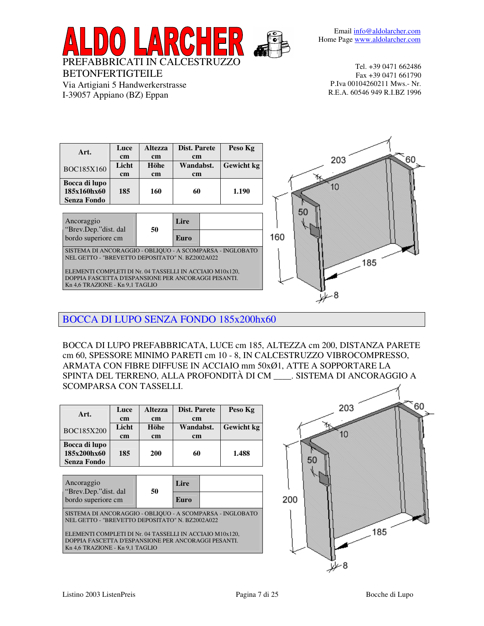Email info@aldolarcher.com Home Page www.aldolarcher.com



BETONFERTIGTEILE

Via Artigiani 5 Handwerkerstrasse I-39057 Appiano (BZ) Eppan

Tel. +39 0471 662486 Fax +39 0471 661790 P.Iva 00104260211 Mws.- Nr. R.E.A. 60546 949 R.I.BZ 1996

| Art.                                                                                                         | Luce<br>$\mathbf{cm}$  | <b>Altezza</b><br>cm | <b>Dist. Parete</b><br>cm | Peso Kg    |     |
|--------------------------------------------------------------------------------------------------------------|------------------------|----------------------|---------------------------|------------|-----|
| BOC185X160                                                                                                   | Licht<br>$\mathbf{cm}$ | Höhe<br>cm           | Wandabst.<br>cm           | Gewicht kg |     |
| Bocca di lupo<br>185x160hx60<br><b>Senza Fondo</b>                                                           | 185                    | 160                  | 60                        | 1.190      |     |
| Ancoraggio                                                                                                   |                        |                      | Lire                      |            |     |
| "Brev.Dep."dist. dal<br>bordo superiore cm                                                                   |                        | 50                   | Euro                      |            | 160 |
| SISTEMA DI ANCORAGGIO - OBLIQUO - A SCOMPARSA - INGLOBATO<br>NEL GETTO - "BREVETTO DEPOSITATO" N. BZ2002A022 |                        |                      |                           |            |     |

ELEMENTI COMPLETI DI Nr. 04 TASSELLI IN ACCIAIO M10x120, DOPPIA FASCETTA D'ESPANSIONE PER ANCORAGGI PESANTI. Kn 4,6 TRAZIONE - Kn 9,1 TAGLIO



BOCCA DI LUPO SENZA FONDO 185x200hx60

BOCCA DI LUPO PREFABBRICATA, LUCE cm 185, ALTEZZA cm 200, DISTANZA PARETE cm 60, SPESSORE MINIMO PARETI cm 10 - 8, IN CALCESTRUZZO VIBROCOMPRESSO, ARMATA CON FIBRE DIFFUSE IN ACCIAIO mm 50xØ1, ATTE A SOPPORTARE LA SPINTA DEL TERRENO, ALLA PROFONDITÀ DI CM \_\_\_\_. SISTEMA DI ANCORAGGIO A SCOMPARSA CON TASSELLI.

| Art.                                               | Luce<br>cm  | <b>Altezza</b><br><sub>cm</sub> | Dist. Parete<br><sub>cm</sub> | Peso Kg           |
|----------------------------------------------------|-------------|---------------------------------|-------------------------------|-------------------|
| <b>BOC185X200</b>                                  | Licht<br>cm | <b>Höhe</b><br><sub>cm</sub>    | Wandabst.<br><sub>cm</sub>    | <b>Gewicht</b> kg |
| Bocca di lupo<br>185x200hx60<br><b>Senza Fondo</b> | 185         | <b>200</b>                      | 60                            | 1.488             |

| Ancoraggio<br>"Brev.Dep."dist. dal                                                                           | 50                                                                                     | Lire |  |  |  |  |
|--------------------------------------------------------------------------------------------------------------|----------------------------------------------------------------------------------------|------|--|--|--|--|
| bordo superiore cm                                                                                           |                                                                                        | Euro |  |  |  |  |
| SISTEMA DI ANCORAGGIO - OBLIQUO - A SCOMPARSA - INGLOBATO<br>NEL GETTO - "BREVETTO DEPOSITATO" N. BZ2002A022 |                                                                                        |      |  |  |  |  |
| ELEMENTI COMPLETI DI Nr. 04 TASSELLI IN ACCIAIO M10x120,                                                     |                                                                                        |      |  |  |  |  |
|                                                                                                              | DOPPIA FASCETTA D'ESPANSIONE PER ANCORAGGI PESANTI.<br>Kn 4,6 TRAZIONE - Kn 9,1 TAGLIO |      |  |  |  |  |

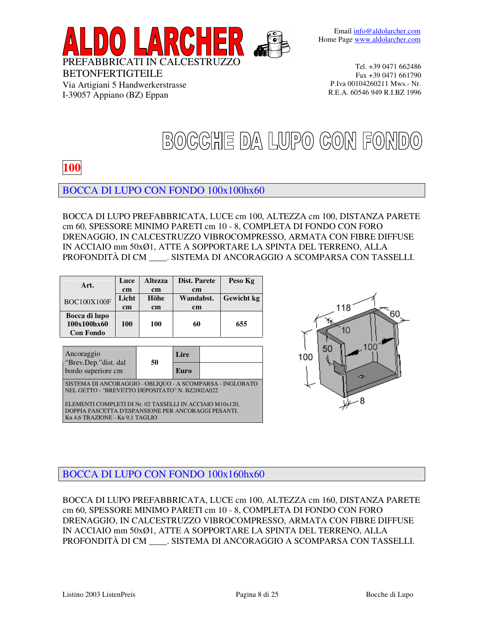

# BOCCHE DA LUPO CON FONDO

## **100**

BETONFERTIGTEILE

Via Artigiani 5 Handwerkerstrasse I-39057 Appiano (BZ) Eppan

### BOCCA DI LUPO CON FONDO 100x100hx60

BOCCA DI LUPO PREFABBRICATA, LUCE cm 100, ALTEZZA cm 100, DISTANZA PARETE cm 60, SPESSORE MINIMO PARETI cm 10 - 8, COMPLETA DI FONDO CON FORO DRENAGGIO, IN CALCESTRUZZO VIBROCOMPRESSO, ARMATA CON FIBRE DIFFUSE IN ACCIAIO mm 50xØ1, ATTE A SOPPORTARE LA SPINTA DEL TERRENO, ALLA PROFONDITÀ DI CM \_\_\_\_. SISTEMA DI ANCORAGGIO A SCOMPARSA CON TASSELLI.

| Art.                                             | Luce<br>cm  | <b>Altezza</b><br><sub>cm</sub> | Dist. Parete<br>cm         | Peso Kg    |
|--------------------------------------------------|-------------|---------------------------------|----------------------------|------------|
| <b>BOC100X100F</b>                               | Licht<br>cm | Höhe<br><sub>cm</sub>           | Wandabst.<br><sub>cm</sub> | Gewicht kg |
| Bocca di lupo<br>100x100hx60<br><b>Con Fondo</b> | <b>100</b>  | 100                             | 60                         | 655        |

| Ancoraggio<br>"Brev.Dep."dist. dal                                                                                                                 | 50 | Lire |  |  |  |
|----------------------------------------------------------------------------------------------------------------------------------------------------|----|------|--|--|--|
| bordo superiore cm                                                                                                                                 |    | Euro |  |  |  |
| SISTEMA DI ANCORAGGIO - OBLIQUO - A SCOMPARSA - INGLOBATO<br>NEL GETTO - "BREVETTO DEPOSITATO" N. BZ2002A022                                       |    |      |  |  |  |
| ELEMENTI COMPLETI DI Nr. 02 TASSELLI IN ACCIAIO M10x120,<br>DOPPIA FASCETTA D'ESPANSIONE PER ANCORAGGI PESANTI.<br>Kn 4,6 TRAZIONE - Kn 9,1 TAGLIO |    |      |  |  |  |



### BOCCA DI LUPO CON FONDO 100x160hx60

BOCCA DI LUPO PREFABBRICATA, LUCE cm 100, ALTEZZA cm 160, DISTANZA PARETE cm 60, SPESSORE MINIMO PARETI cm 10 - 8, COMPLETA DI FONDO CON FORO DRENAGGIO, IN CALCESTRUZZO VIBROCOMPRESSO, ARMATA CON FIBRE DIFFUSE IN ACCIAIO mm 50xØ1, ATTE A SOPPORTARE LA SPINTA DEL TERRENO, ALLA PROFONDITÀ DI CM \_\_\_\_. SISTEMA DI ANCORAGGIO A SCOMPARSA CON TASSELLI.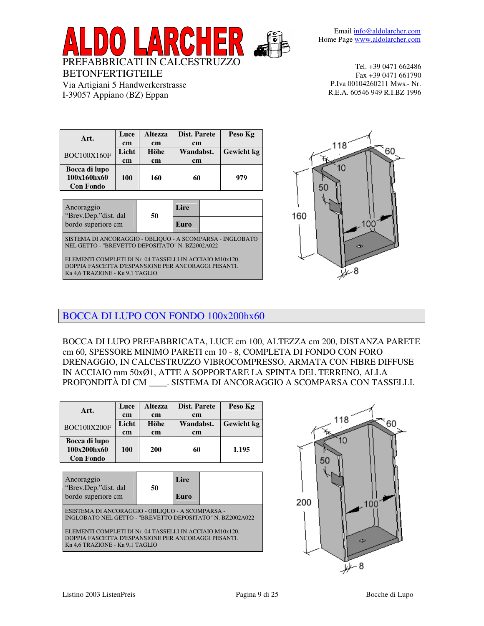

| Art.               | Luce       | <b>Altezza</b> | Dist. Parete | Peso Kg           |
|--------------------|------------|----------------|--------------|-------------------|
|                    | cm         | <sub>cm</sub>  | cm           |                   |
| <b>BOC100X160F</b> | Licht      | Höhe           | Wandabst.    | <b>Gewicht</b> kg |
|                    | cm         | <sub>cm</sub>  | cm           |                   |
| Bocca di lupo      |            |                |              |                   |
| 100x160hx60        | <b>100</b> | 160            | 60           | 979               |
| <b>Con Fondo</b>   |            |                |              |                   |
|                    |            |                |              |                   |

BETONFERTIGTEILE

Via Artigiani 5 Handwerkerstrasse I-39057 Appiano (BZ) Eppan

| Ancoraggio<br>"Brev.Dep."dist. dal                                                                                                                 | 50 | Lire |  |  |  |
|----------------------------------------------------------------------------------------------------------------------------------------------------|----|------|--|--|--|
| bordo superiore cm                                                                                                                                 |    | Euro |  |  |  |
| SISTEMA DI ANCORAGGIO - OBLIQUO - A SCOMPARSA - INGLOBATO<br>NEL GETTO - "BREVETTO DEPOSITATO" N. BZ2002A022                                       |    |      |  |  |  |
| ELEMENTI COMPLETI DI Nr. 04 TASSELLI IN ACCIAIO M10x120,<br>DOPPIA FASCETTA D'ESPANSIONE PER ANCORAGGI PESANTI.<br>Kn 4,6 TRAZIONE - Kn 9,1 TAGLIO |    |      |  |  |  |



### BOCCA DI LUPO CON FONDO 100x200hx60

BOCCA DI LUPO PREFABBRICATA, LUCE cm 100, ALTEZZA cm 200, DISTANZA PARETE cm 60, SPESSORE MINIMO PARETI cm 10 - 8, COMPLETA DI FONDO CON FORO DRENAGGIO, IN CALCESTRUZZO VIBROCOMPRESSO, ARMATA CON FIBRE DIFFUSE IN ACCIAIO mm 50xØ1, ATTE A SOPPORTARE LA SPINTA DEL TERRENO, ALLA PROFONDITÀ DI CM \_\_\_\_. SISTEMA DI ANCORAGGIO A SCOMPARSA CON TASSELLI.

| Art.                                             | Luce<br>cm | <b>Altezza</b><br>cm | Dist. Parete<br>cm |  | Peso Kg |  |                   |
|--------------------------------------------------|------------|----------------------|--------------------|--|---------|--|-------------------|
| <b>BOC100X200F</b>                               | Licht      | Höhe                 | Wandabst.          |  |         |  | <b>Gewicht</b> kg |
|                                                  | cm         | cm                   | cm                 |  |         |  |                   |
| Bocca di lupo<br>100x200hx60<br><b>Con Fondo</b> | 100        | <b>200</b>           | 60                 |  | 1.195   |  |                   |
|                                                  |            |                      |                    |  |         |  |                   |
| Ancoraggio                                       |            |                      | Lire               |  |         |  |                   |
| "Brev.Dep."dist. dal<br>bordo superiore cm       |            | 50                   | Euro               |  |         |  |                   |

ESISTEMA DI ANCORAGGIO - OBLIQUO - A SCOMPARSA - INGLOBATO NEL GETTO - "BREVETTO DEPOSITATO" N. BZ2002A022

ELEMENTI COMPLETI DI Nr. 04 TASSELLI IN ACCIAIO M10x120, DOPPIA FASCETTA D'ESPANSIONE PER ANCORAGGI PESANTI. Kn 4,6 TRAZIONE - Kn 9,1 TAGLIO

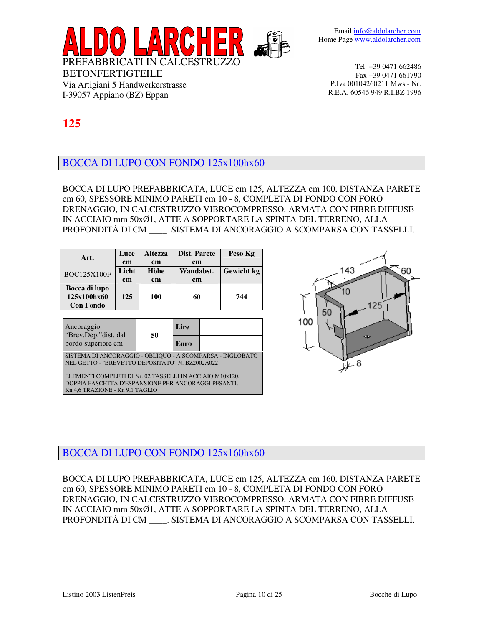

I-39057 Appiano (BZ) Eppan

BETONFERTIGTEILE

Via Artigiani 5 Handwerkerstrasse



BOCCA DI LUPO CON FONDO 125x100hx60

BOCCA DI LUPO PREFABBRICATA, LUCE cm 125, ALTEZZA cm 100, DISTANZA PARETE cm 60, SPESSORE MINIMO PARETI cm 10 - 8, COMPLETA DI FONDO CON FORO DRENAGGIO, IN CALCESTRUZZO VIBROCOMPRESSO, ARMATA CON FIBRE DIFFUSE IN ACCIAIO mm 50xØ1, ATTE A SOPPORTARE LA SPINTA DEL TERRENO, ALLA PROFONDITÀ DI CM \_\_\_\_. SISTEMA DI ANCORAGGIO A SCOMPARSA CON TASSELLI.

| Art.                                             | Luce<br>cm  | <b>Altezza</b><br><sub>cm</sub> | Dist. Parete<br><sub>cm</sub> | Peso Kg           |
|--------------------------------------------------|-------------|---------------------------------|-------------------------------|-------------------|
| <b>BOC125X100F</b>                               | Licht<br>cm | Höhe<br><sub>cm</sub>           | Wandabst.<br><sub>cm</sub>    | <b>Gewicht</b> kg |
| Bocca di lupo<br>125x100hx60<br><b>Con Fondo</b> | 125         | 100                             | 60                            | 744               |

| Ancoraggio                                  | 50 | Lire |  |
|---------------------------------------------|----|------|--|
| "Brev.Dep." dist. dal<br>bordo superiore cm |    | Euro |  |

SISTEMA DI ANCORAGGIO - OBLIQUO - A SCOMPARSA - INGLOBATO NEL GETTO - "BREVETTO DEPOSITATO" N. BZ2002A022

ELEMENTI COMPLETI DI Nr. 02 TASSELLI IN ACCIAIO M10x120, DOPPIA FASCETTA D'ESPANSIONE PER ANCORAGGI PESANTI. Kn 4,6 TRAZIONE - Kn 9,1 TAGLIO



## BOCCA DI LUPO CON FONDO 125x160hx60

BOCCA DI LUPO PREFABBRICATA, LUCE cm 125, ALTEZZA cm 160, DISTANZA PARETE cm 60, SPESSORE MINIMO PARETI cm 10 - 8, COMPLETA DI FONDO CON FORO DRENAGGIO, IN CALCESTRUZZO VIBROCOMPRESSO, ARMATA CON FIBRE DIFFUSE IN ACCIAIO mm 50xØ1, ATTE A SOPPORTARE LA SPINTA DEL TERRENO, ALLA PROFONDITÀ DI CM \_\_\_\_. SISTEMA DI ANCORAGGIO A SCOMPARSA CON TASSELLI.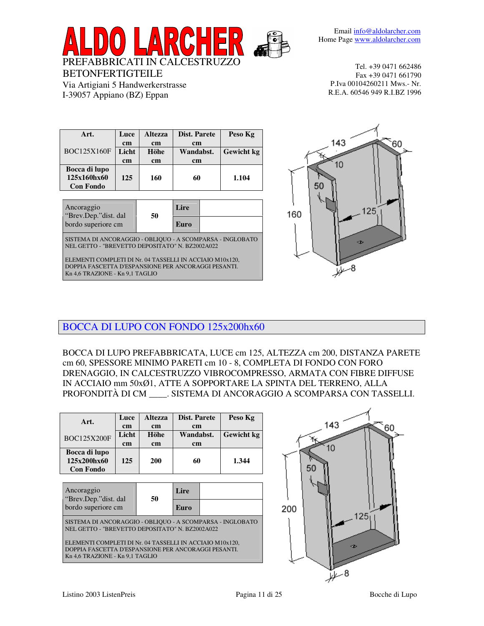

| Art.               | Luce  | <b>Altezza</b> | Dist. Parete  | Peso Kg    |
|--------------------|-------|----------------|---------------|------------|
|                    | cm    | <sub>cm</sub>  | <sub>cm</sub> |            |
| <b>BOC125X160F</b> | Licht | <b>Höhe</b>    | Wandabst.     | Gewicht kg |
|                    | cm    | <sub>cm</sub>  | <sub>cm</sub> |            |
| Bocca di lupo      |       |                |               |            |
| 125x160hx60        | 125   | 160            | 60            | 1.104      |
| <b>Con Fondo</b>   |       |                |               |            |

BETONFERTIGTEILE

Via Artigiani 5 Handwerkerstrasse I-39057 Appiano (BZ) Eppan

| Ancoraggio<br>"Brev.Dep."dist. dal                                                                           | 50 | Lire |  |  |  |
|--------------------------------------------------------------------------------------------------------------|----|------|--|--|--|
| bordo superiore cm                                                                                           |    | Euro |  |  |  |
| SISTEMA DI ANCORAGGIO - OBLIQUO - A SCOMPARSA - INGLOBATO<br>NEL GETTO - "BREVETTO DEPOSITATO" N. BZ2002A022 |    |      |  |  |  |
| ELEMENTI COMPLETI DI Nr. 04 TASSELLI IN ACCIAIO M10x120,                                                     |    |      |  |  |  |
| DOPPIA FASCETTA D'ESPANSIONE PER ANCORAGGI PESANTI.                                                          |    |      |  |  |  |
| Kn 4,6 TRAZIONE - Kn 9,1 TAGLIO                                                                              |    |      |  |  |  |



### BOCCA DI LUPO CON FONDO 125x200hx60

BOCCA DI LUPO PREFABBRICATA, LUCE cm 125, ALTEZZA cm 200, DISTANZA PARETE cm 60, SPESSORE MINIMO PARETI cm 10 - 8, COMPLETA DI FONDO CON FORO DRENAGGIO, IN CALCESTRUZZO VIBROCOMPRESSO, ARMATA CON FIBRE DIFFUSE IN ACCIAIO mm 50xØ1, ATTE A SOPPORTARE LA SPINTA DEL TERRENO, ALLA PROFONDITÀ DI CM \_\_\_\_. SISTEMA DI ANCORAGGIO A SCOMPARSA CON TASSELLI.

| Art.                                             | Luce<br>cm  | <b>Altezza</b><br><sub>cm</sub> | Dist. Parete<br><sub>cm</sub> | Peso Kg           |
|--------------------------------------------------|-------------|---------------------------------|-------------------------------|-------------------|
| <b>BOC125X200F</b>                               | Licht<br>cm | Höhe<br><sub>cm</sub>           | Wandabst.<br><sub>cm</sub>    | <b>Gewicht</b> kg |
| Bocca di lupo<br>125x200hx60<br><b>Con Fondo</b> | 125         | <b>200</b>                      | 60                            | 1.344             |

| Ancoraggio<br>"Brev.Dep."dist. dal                                                                           | 50 | Lire |  |  |  |
|--------------------------------------------------------------------------------------------------------------|----|------|--|--|--|
| bordo superiore cm                                                                                           |    | Euro |  |  |  |
| SISTEMA DI ANCORAGGIO - OBLIQUO - A SCOMPARSA - INGLOBATO<br>NEL GETTO - "BREVETTO DEPOSITATO" N. BZ2002A022 |    |      |  |  |  |
| ELEMENTI COMPLETI DI Nr. 04 TASSELLI IN ACCIAIO M10x120,                                                     |    |      |  |  |  |
| DOPPIA FASCETTA D'ESPANSIONE PER ANCORAGGI PESANTI.                                                          |    |      |  |  |  |
| Kn 4,6 TRAZIONE - Kn 9,1 TAGLIO                                                                              |    |      |  |  |  |

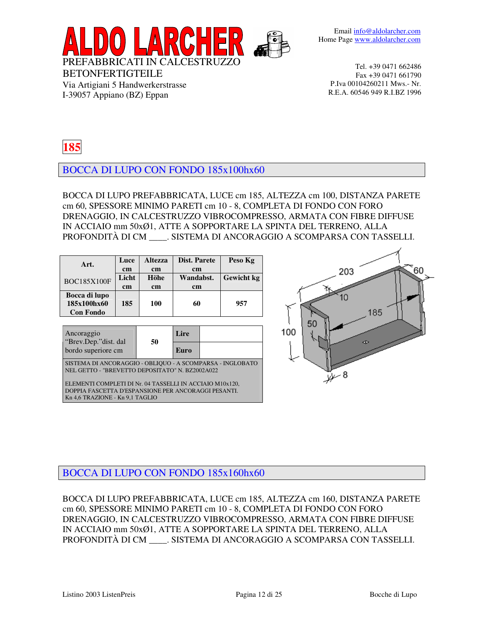

## **185**

BETONFERTIGTEILE

Via Artigiani 5 Handwerkerstrasse I-39057 Appiano (BZ) Eppan

BOCCA DI LUPO CON FONDO 185x100hx60

BOCCA DI LUPO PREFABBRICATA, LUCE cm 185, ALTEZZA cm 100, DISTANZA PARETE cm 60, SPESSORE MINIMO PARETI cm 10 - 8, COMPLETA DI FONDO CON FORO DRENAGGIO, IN CALCESTRUZZO VIBROCOMPRESSO, ARMATA CON FIBRE DIFFUSE IN ACCIAIO mm 50xØ1, ATTE A SOPPORTARE LA SPINTA DEL TERRENO, ALLA PROFONDITÀ DI CM \_\_\_\_. SISTEMA DI ANCORAGGIO A SCOMPARSA CON TASSELLI.

| Art.               | Luce  | <b>Altezza</b>    | Dist. Parete |                   | Peso Kg |
|--------------------|-------|-------------------|--------------|-------------------|---------|
|                    | cm    | <sub>cm</sub>     | cm           |                   |         |
| <b>BOC185X100F</b> | Licht | Höhe<br>Wandabst. |              | <b>Gewicht</b> kg |         |
|                    | cm    | cm                | cm           |                   |         |
| Bocca di lupo      |       |                   |              |                   |         |
| 185x100hx60        | 185   | 100               | 60           |                   | 957     |
| <b>Con Fondo</b>   |       |                   |              |                   |         |
|                    |       |                   |              |                   |         |
| Ancoraggio         |       |                   | Lire         |                   |         |

| "Brev.Dep." dist. dal<br>bordo superiore cm                                                                  | 50 | Euro |  |  |  |  |
|--------------------------------------------------------------------------------------------------------------|----|------|--|--|--|--|
| SISTEMA DI ANCORAGGIO - OBLIQUO - A SCOMPARSA - INGLOBATO<br>NEL GETTO - "BREVETTO DEPOSITATO" N. BZ2002A022 |    |      |  |  |  |  |

ELEMENTI COMPLETI DI Nr. 04 TASSELLI IN ACCIAIO M10x120, DOPPIA FASCETTA D'ESPANSIONE PER ANCORAGGI PESANTI. Kn 4,6 TRAZIONE - Kn 9,1 TAGLIO



### BOCCA DI LUPO CON FONDO 185x160hx60

BOCCA DI LUPO PREFABBRICATA, LUCE cm 185, ALTEZZA cm 160, DISTANZA PARETE cm 60, SPESSORE MINIMO PARETI cm 10 - 8, COMPLETA DI FONDO CON FORO DRENAGGIO, IN CALCESTRUZZO VIBROCOMPRESSO, ARMATA CON FIBRE DIFFUSE IN ACCIAIO mm 50xØ1, ATTE A SOPPORTARE LA SPINTA DEL TERRENO, ALLA PROFONDITÀ DI CM \_\_\_\_. SISTEMA DI ANCORAGGIO A SCOMPARSA CON TASSELLI.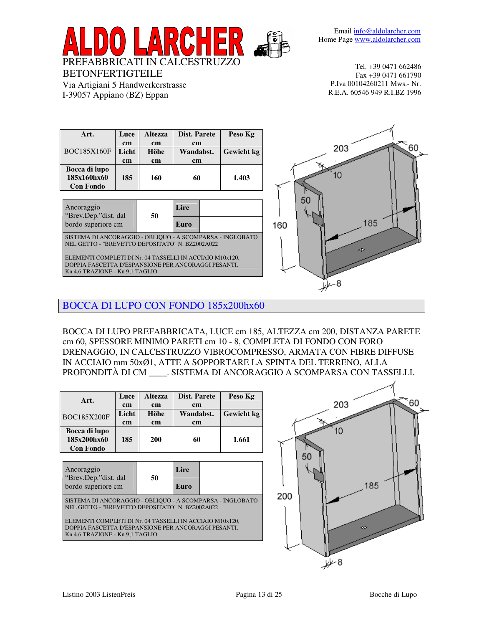

| Art.               | Luce  | <b>Altezza</b> | Dist. Parete  | Peso Kg           |
|--------------------|-------|----------------|---------------|-------------------|
|                    | cm    | <sub>cm</sub>  | <sub>cm</sub> |                   |
| <b>BOC185X160F</b> | Licht | Höhe           | Wandabst.     | <b>Gewicht</b> kg |
|                    | cm    | <sub>cm</sub>  | <sub>cm</sub> |                   |
| Bocca di lupo      |       |                |               |                   |
| 185x160hx60        | 185   | 160            | 60            | 1.403             |
| <b>Con Fondo</b>   |       |                |               |                   |

BETONFERTIGTEILE

Via Artigiani 5 Handwerkerstrasse I-39057 Appiano (BZ) Eppan

| Ancoraggio<br>"Brev.Dep."dist. dal                                                                           | 50 | Lire |  |  |  |  |
|--------------------------------------------------------------------------------------------------------------|----|------|--|--|--|--|
| bordo superiore cm                                                                                           |    | Euro |  |  |  |  |
| SISTEMA DI ANCORAGGIO - OBLIQUO - A SCOMPARSA - INGLOBATO<br>NEL GETTO - "BREVETTO DEPOSITATO" N. BZ2002A022 |    |      |  |  |  |  |
| ELEMENTI COMPLETI DI Nr. 04 TASSELLI IN ACCIAIO M10x120,                                                     |    |      |  |  |  |  |
| DOPPIA FASCETTA D'ESPANSIONE PER ANCORAGGI PESANTI.<br>Kn 4,6 TRAZIONE - Kn 9,1 TAGLIO                       |    |      |  |  |  |  |



BOCCA DI LUPO CON FONDO 185x200hx60

BOCCA DI LUPO PREFABBRICATA, LUCE cm 185, ALTEZZA cm 200, DISTANZA PARETE cm 60, SPESSORE MINIMO PARETI cm 10 - 8, COMPLETA DI FONDO CON FORO DRENAGGIO, IN CALCESTRUZZO VIBROCOMPRESSO, ARMATA CON FIBRE DIFFUSE IN ACCIAIO mm 50xØ1, ATTE A SOPPORTARE LA SPINTA DEL TERRENO, ALLA PROFONDITÀ DI CM \_\_\_\_. SISTEMA DI ANCORAGGIO A SCOMPARSA CON TASSELLI.

| Licht<br>Höhe<br>Wandabst.<br><b>BOC185X200F</b><br><sub>cm</sub><br><sub>cm</sub><br><sub>cm</sub><br>Bocca di lupo<br>185x200hx60<br>185<br><b>200</b><br>1.661<br>60 | Art. | Luce<br><sub>cm</sub> | <b>Altezza</b><br><sub>cm</sub> | Dist. Parete<br><sub>cm</sub> | Peso Kg           |
|-------------------------------------------------------------------------------------------------------------------------------------------------------------------------|------|-----------------------|---------------------------------|-------------------------------|-------------------|
|                                                                                                                                                                         |      |                       |                                 |                               | <b>Gewicht</b> kg |
| <b>Con Fondo</b>                                                                                                                                                        |      |                       |                                 |                               |                   |

Ancoraggio **Lire** "Brev.Dep."dist. dal bordo superiore cm **50 Euro** SISTEMA DI ANCORAGGIO - OBLIQUO - A SCOMPARSA - INGLOBATO NEL GETTO - "BREVETTO DEPOSITATO" N. BZ2002A022 ELEMENTI COMPLETI DI Nr. 04 TASSELLI IN ACCIAIO M10x120, DOPPIA FASCETTA D'ESPANSIONE PER ANCORAGGI PESANTI. Kn 4,6 TRAZIONE - Kn 9,1 TAGLIO

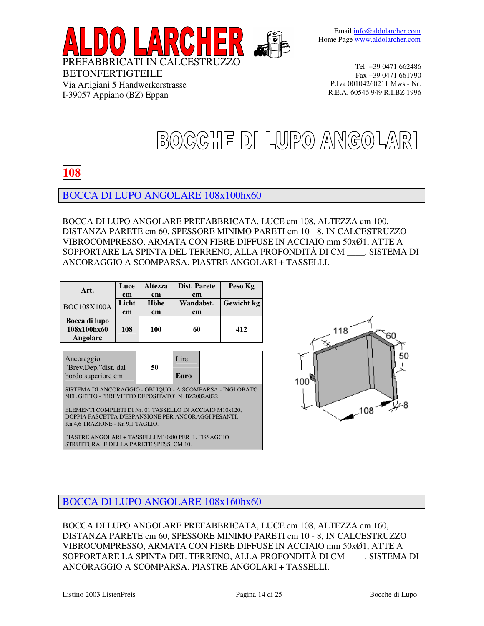

# BOCCHE DI LUPO ANGOLARI

## **108**

BETONFERTIGTEILE

Via Artigiani 5 Handwerkerstrasse I-39057 Appiano (BZ) Eppan

BOCCA DI LUPO ANGOLARE 108x100hx60

BOCCA DI LUPO ANGOLARE PREFABBRICATA, LUCE cm 108, ALTEZZA cm 100, DISTANZA PARETE cm 60, SPESSORE MINIMO PARETI cm 10 - 8, IN CALCESTRUZZO VIBROCOMPRESSO, ARMATA CON FIBRE DIFFUSE IN ACCIAIO mm 50xØ1, ATTE A SOPPORTARE LA SPINTA DEL TERRENO, ALLA PROFONDITÀ DI CM \_\_\_\_. SISTEMA DI ANCORAGGIO A SCOMPARSA. PIASTRE ANGOLARI + TASSELLI.

| Art.                                     | Luce  | <b>Altezza</b> | Dist. Parete  | Peso Kg           |
|------------------------------------------|-------|----------------|---------------|-------------------|
|                                          | cm    | <sub>cm</sub>  | cm            |                   |
| <b>BOC108X100A</b>                       | Licht | Höhe           | Wandabst.     | <b>Gewicht</b> kg |
|                                          | cm    | <sub>cm</sub>  | <sub>cm</sub> |                   |
| Bocca di lupo<br>108x100hx60<br>Angolare | 108   | 100            | 60            | 412               |

Ancoraggio in Lire "Brev.Dep."dist. dal bordo superiore cm **50 Euro** SISTEMA DI ANCORAGGIO - OBLIQUO - A SCOMPARSA - INGLOBATO

NEL GETTO - "BREVETTO DEPOSITATO" N. BZ2002A022

ELEMENTI COMPLETI DI Nr. 01 TASSELLO IN ACCIAIO M10x120, DOPPIA FASCETTA D'ESPANSIONE PER ANCORAGGI PESANTI. Kn 4,6 TRAZIONE - Kn 9,1 TAGLIO.

PIASTRE ANGOLARI + TASSELLI M10x80 PER IL FISSAGGIO STRUTTURALE DELLA PARETE SPESS. CM 10.



### BOCCA DI LUPO ANGOLARE 108x160hx60

BOCCA DI LUPO ANGOLARE PREFABBRICATA, LUCE cm 108, ALTEZZA cm 160, DISTANZA PARETE cm 60, SPESSORE MINIMO PARETI cm 10 - 8, IN CALCESTRUZZO VIBROCOMPRESSO, ARMATA CON FIBRE DIFFUSE IN ACCIAIO mm 50xØ1, ATTE A SOPPORTARE LA SPINTA DEL TERRENO, ALLA PROFONDITÀ DI CM \_\_\_\_. SISTEMA DI ANCORAGGIO A SCOMPARSA. PIASTRE ANGOLARI + TASSELLI.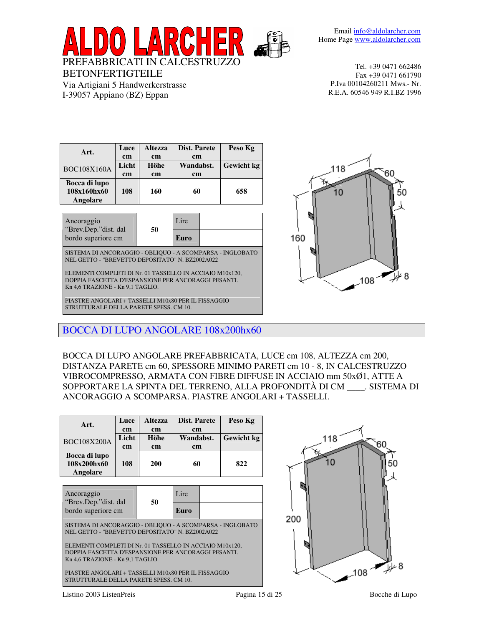PREFABBRICATI IN CALCESTRUZZO

Email info@aldolarcher.com Home Page www.aldolarcher.com

BETONFERTIGTEILE Via Artigiani 5 Handwerkerstrasse I-39057 Appiano (BZ) Eppan

Tel. +39 0471 662486 Fax +39 0471 661790 P.Iva 00104260211 Mws.- Nr. R.E.A. 60546 949 R.I.BZ 1996

| Art.                                     | Luce<br>cm  | <b>Altezza</b><br><sub>cm</sub> | Dist. Parete<br>cm         | Peso Kg    |
|------------------------------------------|-------------|---------------------------------|----------------------------|------------|
| <b>BOC108X160A</b>                       | Licht<br>cm | Höhe<br><sub>cm</sub>           | Wandabst.<br><sub>cm</sub> | Gewicht kg |
| Bocca di lupo<br>108x160hx60<br>Angolare | 108         | 160                             | 60                         | 658        |

| Ancoraggio<br>"Brev.Dep." dist. dal | 50 | Lire |  |
|-------------------------------------|----|------|--|
| bordo superiore cm                  |    | Euro |  |

SISTEMA DI ANCORAGGIO - OBLIQUO - A SCOMPARSA - INGLOBATO NEL GETTO - "BREVETTO DEPOSITATO" N. BZ2002A022

ELEMENTI COMPLETI DI Nr. 01 TASSELLO IN ACCIAIO M10x120, DOPPIA FASCETTA D'ESPANSIONE PER ANCORAGGI PESANTI. Kn 4,6 TRAZIONE - Kn 9,1 TAGLIO.

PIASTRE ANGOLARI + TASSELLI M10x80 PER IL FISSAGGIO STRUTTURALE DELLA PARETE SPESS. CM 10.



BOCCA DI LUPO ANGOLARE 108x200hx60

BOCCA DI LUPO ANGOLARE PREFABBRICATA, LUCE cm 108, ALTEZZA cm 200, DISTANZA PARETE cm 60, SPESSORE MINIMO PARETI cm 10 - 8, IN CALCESTRUZZO VIBROCOMPRESSO, ARMATA CON FIBRE DIFFUSE IN ACCIAIO mm 50xØ1, ATTE A SOPPORTARE LA SPINTA DEL TERRENO, ALLA PROFONDITÀ DI CM \_\_\_\_. SISTEMA DI ANCORAGGIO A SCOMPARSA. PIASTRE ANGOLARI + TASSELLI.

| Art.                                            | Luce<br>cm  | <b>Altezza</b><br>cm | Dist. Parete<br>cm |  | Peso Kg           |
|-------------------------------------------------|-------------|----------------------|--------------------|--|-------------------|
| <b>BOC108X200A</b>                              | Licht<br>cm | Höhe<br>cm           | Wandabst.<br>cm    |  | <b>Gewicht</b> kg |
| Bocca di lupo<br>108x200hx60<br><b>Angolare</b> | 108         | <b>200</b>           | 60                 |  | 822               |
| Ancoraggio<br>"Brev.Dep." dist. dal             |             | 50                   | Lire               |  |                   |
| bordo superiore cm                              |             |                      | Euro               |  |                   |

SISTEMA DI ANCORAGGIO - OBLIQUO - A SCOMPARSA - INGLOBATO NEL GETTO - "BREVETTO DEPOSITATO" N. BZ2002A022

ELEMENTI COMPLETI DI Nr. 01 TASSELLO IN ACCIAIO M10x120, DOPPIA FASCETTA D'ESPANSIONE PER ANCORAGGI PESANTI. Kn 4,6 TRAZIONE - Kn 9,1 TAGLIO.

PIASTRE ANGOLARI + TASSELLI M10x80 PER IL FISSAGGIO STRUTTURALE DELLA PARETE SPESS. CM 10.



Listino 2003 ListenPreis Pagina 15 di 25 Bocche di Lupo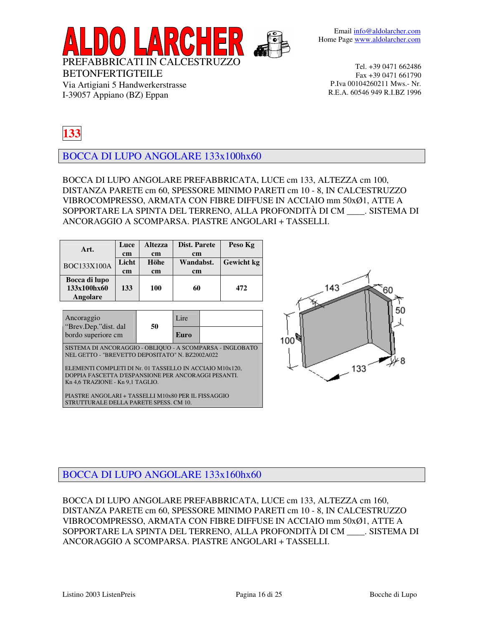

# **133**

BETONFERTIGTEILE

Via Artigiani 5 Handwerkerstrasse I-39057 Appiano (BZ) Eppan

BOCCA DI LUPO ANGOLARE 133x100hx60

BOCCA DI LUPO ANGOLARE PREFABBRICATA, LUCE cm 133, ALTEZZA cm 100, DISTANZA PARETE cm 60, SPESSORE MINIMO PARETI cm 10 - 8, IN CALCESTRUZZO VIBROCOMPRESSO, ARMATA CON FIBRE DIFFUSE IN ACCIAIO mm 50xØ1, ATTE A SOPPORTARE LA SPINTA DEL TERRENO, ALLA PROFONDITÀ DI CM \_\_\_\_. SISTEMA DI ANCORAGGIO A SCOMPARSA. PIASTRE ANGOLARI + TASSELLI.

| Art.                                                                                                                                                | Luce<br>cm       | <b>Altezza</b><br>cm | Dist. Parete<br>cm |  | Peso Kg    |
|-----------------------------------------------------------------------------------------------------------------------------------------------------|------------------|----------------------|--------------------|--|------------|
| <b>BOC133X100A</b>                                                                                                                                  | Licht<br>cm      | Höhe<br>cm           | Wandabst.<br>cm    |  | Gewicht kg |
| Bocca di lupo<br>133x100hx60<br>Angolare                                                                                                            | 133              | 100<br>60            |                    |  | 472        |
| Lire                                                                                                                                                |                  |                      |                    |  |            |
| "Brev.Dep." dist. dal                                                                                                                               | Ancoraggio<br>50 |                      |                    |  |            |
| bordo superiore cm                                                                                                                                  |                  |                      | Euro               |  |            |
| SISTEMA DI ANCORAGGIO - OBLIQUO - A SCOMPARSA - INGLOBATO<br>NEL GETTO - "BREVETTO DEPOSITATO" N. BZ2002A022                                        |                  |                      |                    |  |            |
| ELEMENTI COMPLETI DI Nr. 01 TASSELLO IN ACCIAIO M10x120,<br>DOPPIA FASCETTA D'ESPANSIONE PER ANCORAGGI PESANTI.<br>Kn 4,6 TRAZIONE - Kn 9,1 TAGLIO. |                  |                      |                    |  |            |
| PIASTRE ANGOLARI + TASSELLI M10x80 PER IL FISSAGGIO<br>STRUTTURALE DELLA PARETE SPESS. CM 10.                                                       |                  |                      |                    |  |            |



### BOCCA DI LUPO ANGOLARE 133x160hx60

BOCCA DI LUPO ANGOLARE PREFABBRICATA, LUCE cm 133, ALTEZZA cm 160, DISTANZA PARETE cm 60, SPESSORE MINIMO PARETI cm 10 - 8, IN CALCESTRUZZO VIBROCOMPRESSO, ARMATA CON FIBRE DIFFUSE IN ACCIAIO mm 50xØ1, ATTE A SOPPORTARE LA SPINTA DEL TERRENO, ALLA PROFONDITÀ DI CM \_\_\_\_. SISTEMA DI ANCORAGGIO A SCOMPARSA. PIASTRE ANGOLARI + TASSELLI.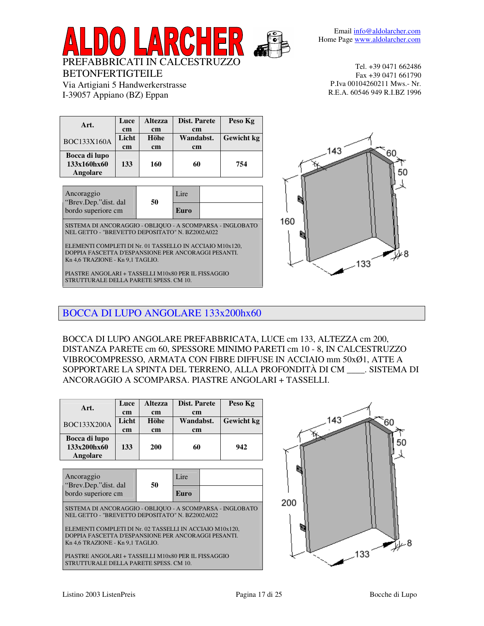

60

50

V 8

| Luce                                                                                                                                                                                                                                                                | <b>Altezza</b>       |      |  | Peso Kg                               |  |  |  |  |
|---------------------------------------------------------------------------------------------------------------------------------------------------------------------------------------------------------------------------------------------------------------------|----------------------|------|--|---------------------------------------|--|--|--|--|
| cm<br>cm                                                                                                                                                                                                                                                            |                      |      |  |                                       |  |  |  |  |
| Licht                                                                                                                                                                                                                                                               | <b>H</b> öhe         |      |  | <b>Gewicht</b> kg                     |  |  |  |  |
| cm                                                                                                                                                                                                                                                                  | cm                   |      |  |                                       |  |  |  |  |
|                                                                                                                                                                                                                                                                     |                      |      |  |                                       |  |  |  |  |
| 133                                                                                                                                                                                                                                                                 | 160                  | 60   |  | 754                                   |  |  |  |  |
|                                                                                                                                                                                                                                                                     |                      |      |  |                                       |  |  |  |  |
|                                                                                                                                                                                                                                                                     |                      |      |  |                                       |  |  |  |  |
|                                                                                                                                                                                                                                                                     |                      | Lire |  |                                       |  |  |  |  |
| bordo superiore cm                                                                                                                                                                                                                                                  |                      | Euro |  |                                       |  |  |  |  |
| SISTEMA DI ANCORAGGIO - OBLIQUO - A SCOMPARSA - INGLOBATO<br>NEL GETTO - "BREVETTO DEPOSITATO" N. BZ2002A022<br>ELEMENTI COMPLETI DI Nr. 01 TASSELLO IN ACCIAIO M10x120,<br>DOPPIA FASCETTA D'ESPANSIONE PER ANCORAGGI PESANTI.<br>Kn 4,6 TRAZIONE - Kn 9,1 TAGLIO. |                      |      |  |                                       |  |  |  |  |
|                                                                                                                                                                                                                                                                     | "Brev.Dep."dist. dal | 50   |  | Dist. Parete<br>cm<br>Wandabst.<br>cm |  |  |  |  |

PREFABBRICATI IN CALCESTRUZZO

BETONFERTIGTEILE

 $\overline{\phantom{0}}$ 

Via Artigiani 5 Handwerkerstrasse I-39057 Appiano (BZ) Eppan

PIASTRE ANGOLARI + TASSELLI M10x80 PER IL FISSAGGIO STRUTTURALE DELLA PARETE SPESS. CM 10.

133

143

160



BOCCA DI LUPO ANGOLARE PREFABBRICATA, LUCE cm 133, ALTEZZA cm 200, DISTANZA PARETE cm 60, SPESSORE MINIMO PARETI cm 10 - 8, IN CALCESTRUZZO VIBROCOMPRESSO, ARMATA CON FIBRE DIFFUSE IN ACCIAIO mm 50xØ1, ATTE A SOPPORTARE LA SPINTA DEL TERRENO, ALLA PROFONDITÀ DI CM \_\_\_\_. SISTEMA DI ANCORAGGIO A SCOMPARSA. PIASTRE ANGOLARI + TASSELLI.

| Art.                                                                                                                                                                                                                                                                | Luce<br>cm  | <b>Altezza</b><br>cm | Dist. Parete<br>cm<br>Wandabst.<br>cm |  | Peso Kg    |  |  |  |  |
|---------------------------------------------------------------------------------------------------------------------------------------------------------------------------------------------------------------------------------------------------------------------|-------------|----------------------|---------------------------------------|--|------------|--|--|--|--|
| BOC133X200A                                                                                                                                                                                                                                                         | Licht<br>cm | Höhe<br>cm           |                                       |  | Gewicht kg |  |  |  |  |
| Bocca di lupo<br>133x200hx60<br>Angolare                                                                                                                                                                                                                            | 133         | <b>200</b>           | 60                                    |  | 942        |  |  |  |  |
| Lire<br>Ancoraggio                                                                                                                                                                                                                                                  |             |                      |                                       |  |            |  |  |  |  |
| "Brev.Dep." dist. dal<br>bordo superiore cm                                                                                                                                                                                                                         |             | 50                   | Euro                                  |  |            |  |  |  |  |
| SISTEMA DI ANCORAGGIO - OBLIQUO - A SCOMPARSA - INGLOBATO<br>NEL GETTO - "BREVETTO DEPOSITATO" N. BZ2002A022<br>ELEMENTI COMPLETI DI Nr. 02 TASSELLI IN ACCIAIO M10x120.<br>DOPPIA FASCETTA D'ESPANSIONE PER ANCORAGGI PESANTI.<br>Kn 4,6 TRAZIONE - Kn 9,1 TAGLIO. |             |                      |                                       |  |            |  |  |  |  |
| PIASTRE ANGOLARI + TASSELLI M10x80 PER IL FISSAGGIO<br>STRUTTURALE DELLA PARETE SPESS. CM 10.                                                                                                                                                                       |             |                      |                                       |  |            |  |  |  |  |

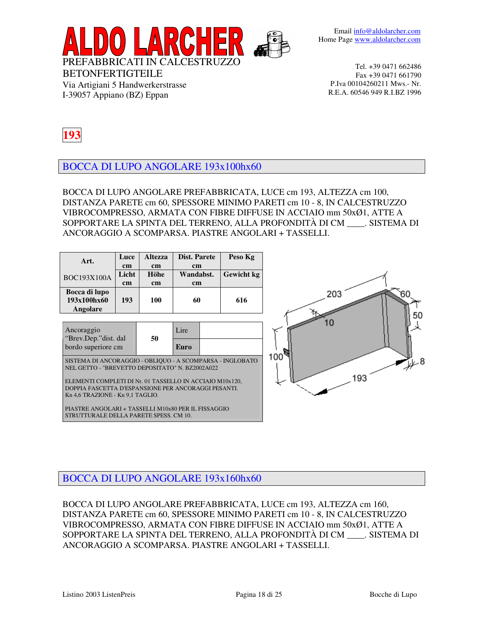

# **193**

BOCCA DI LUPO ANGOLARE 193x100hx60

Via Artigiani 5 Handwerkerstrasse I-39057 Appiano (BZ) Eppan

BOCCA DI LUPO ANGOLARE PREFABBRICATA, LUCE cm 193, ALTEZZA cm 100, DISTANZA PARETE cm 60, SPESSORE MINIMO PARETI cm 10 - 8, IN CALCESTRUZZO VIBROCOMPRESSO, ARMATA CON FIBRE DIFFUSE IN ACCIAIO mm 50xØ1, ATTE A SOPPORTARE LA SPINTA DEL TERRENO, ALLA PROFONDITÀ DI CM \_\_\_\_. SISTEMA DI ANCORAGGIO A SCOMPARSA. PIASTRE ANGOLARI + TASSELLI.

| Art.                                                                                                                                                | Luce<br>cm<br>Licht | <b>Altezza</b><br>cm<br>Höhe | Dist. Parete<br>cm<br>Wandabst. |  | Peso Kg<br>Gewicht kg |  |  |
|-----------------------------------------------------------------------------------------------------------------------------------------------------|---------------------|------------------------------|---------------------------------|--|-----------------------|--|--|
| <b>BOC193X100A</b>                                                                                                                                  | cm                  | cm                           | cm                              |  |                       |  |  |
| Bocca di lupo<br>193x100hx60<br>Angolare                                                                                                            | 193                 | 100                          | 60                              |  | 616                   |  |  |
|                                                                                                                                                     |                     |                              |                                 |  |                       |  |  |
| Ancoraggio<br>"Brev.Dep." dist. dal                                                                                                                 |                     | 50                           | Lire                            |  |                       |  |  |
| bordo superiore cm                                                                                                                                  |                     |                              | Euro                            |  |                       |  |  |
| SISTEMA DI ANCORAGGIO - OBLIQUO - A SCOMPARSA - INGLOBATO<br>NEL GETTO - "BREVETTO DEPOSITATO" N. BZ2002A022                                        |                     |                              |                                 |  |                       |  |  |
| ELEMENTI COMPLETI DI Nr. 01 TASSELLO IN ACCIAIO M10x120,<br>DOPPIA FASCETTA D'ESPANSIONE PER ANCORAGGI PESANTI.<br>Kn 4,6 TRAZIONE - Kn 9,1 TAGLIO. |                     |                              |                                 |  |                       |  |  |
| PIASTRE ANGOLARI + TASSELLI M10x80 PER IL FISSAGGIO<br>STRUTTURALE DELLA PARETE SPESS. CM 10.                                                       |                     |                              |                                 |  |                       |  |  |

### BOCCA DI LUPO ANGOLARE 193x160hx60

BOCCA DI LUPO ANGOLARE PREFABBRICATA, LUCE cm 193, ALTEZZA cm 160, DISTANZA PARETE cm 60, SPESSORE MINIMO PARETI cm 10 - 8, IN CALCESTRUZZO VIBROCOMPRESSO, ARMATA CON FIBRE DIFFUSE IN ACCIAIO mm 50xØ1, ATTE A SOPPORTARE LA SPINTA DEL TERRENO, ALLA PROFONDITÀ DI CM \_\_\_\_. SISTEMA DI ANCORAGGIO A SCOMPARSA. PIASTRE ANGOLARI + TASSELLI.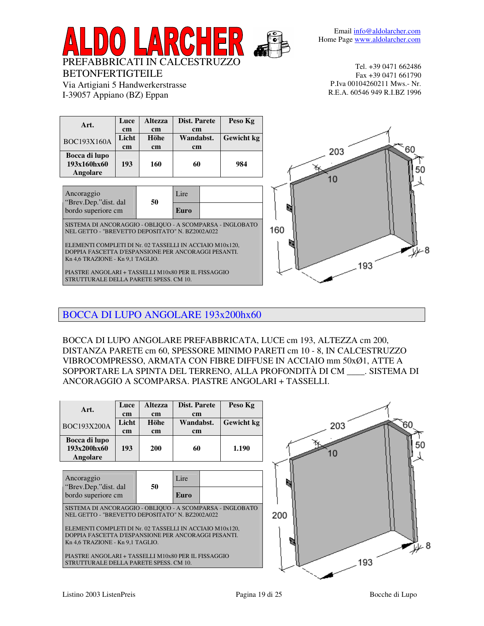| Art.                                                      | Luce                                                     | <b>Altezza</b> | Dist. Parete |  | Peso Kg    |     |  |  |  |
|-----------------------------------------------------------|----------------------------------------------------------|----------------|--------------|--|------------|-----|--|--|--|
|                                                           | cm                                                       | cm             | cm           |  |            |     |  |  |  |
| <b>BOC193X160A</b>                                        | Licht                                                    | Höhe           | Wandabst.    |  | Gewicht kg |     |  |  |  |
|                                                           | cm                                                       | cm             | cm           |  |            |     |  |  |  |
| Bocca di lupo                                             |                                                          |                |              |  |            |     |  |  |  |
| 193x160hx60                                               | 193                                                      | 160            | 60           |  | 984        |     |  |  |  |
| Angolare                                                  |                                                          |                |              |  |            |     |  |  |  |
|                                                           |                                                          |                |              |  |            |     |  |  |  |
| Ancoraggio                                                |                                                          |                | Lire         |  |            |     |  |  |  |
| "Brev.Dep." dist. dal                                     |                                                          | 50             |              |  |            |     |  |  |  |
| bordo superiore cm                                        |                                                          |                | Euro         |  |            |     |  |  |  |
|                                                           |                                                          |                |              |  |            |     |  |  |  |
| SISTEMA DI ANCORAGGIO - OBLIQUO - A SCOMPARSA - INGLOBATO |                                                          |                |              |  |            | 160 |  |  |  |
| NEL GETTO - "BREVETTO DEPOSITATO" N. BZ2002A022           |                                                          |                |              |  |            |     |  |  |  |
|                                                           | ELEMENTI COMPLETI DI Nr. 02 TASSELLI IN ACCIAIO M10x120, |                |              |  |            |     |  |  |  |
| DOPPIA FASCETTA D'ESPANSIONE PER ANCORAGGI PESANTI.       |                                                          |                |              |  |            |     |  |  |  |
| Kn 4,6 TRAZIONE - Kn 9,1 TAGLIO.                          |                                                          |                |              |  |            |     |  |  |  |
|                                                           | PIASTRE ANGOLARI + TASSELLI M10x80 PER IL FISSAGGIO      |                |              |  |            |     |  |  |  |
| STRUTTURALE DELLA PARETE SPESS. CM 10.                    |                                                          |                |              |  |            |     |  |  |  |
|                                                           |                                                          |                |              |  |            |     |  |  |  |

## BOCCA DI LUPO ANGOLARE 193x200hx60

PREFABBRICATI IN CALCESTRUZZO

BETONFERTIGTEILE

**Contract Contract** 

Via Artigiani 5 Handwerkerstrasse I-39057 Appiano (BZ) Eppan

BOCCA DI LUPO ANGOLARE PREFABBRICATA, LUCE cm 193, ALTEZZA cm 200, DISTANZA PARETE cm 60, SPESSORE MINIMO PARETI cm 10 - 8, IN CALCESTRUZZO VIBROCOMPRESSO, ARMATA CON FIBRE DIFFUSE IN ACCIAIO mm 50xØ1, ATTE A SOPPORTARE LA SPINTA DEL TERRENO, ALLA PROFONDITÀ DI CM \_\_\_\_. SISTEMA DI ANCORAGGIO A SCOMPARSA. PIASTRE ANGOLARI + TASSELLI.

| Art.                                                                                                            | Luce  | <b>Altezza</b> | Dist. Parete |  | Peso Kg    |     |     |
|-----------------------------------------------------------------------------------------------------------------|-------|----------------|--------------|--|------------|-----|-----|
|                                                                                                                 | cm    | cm             | cm           |  |            |     |     |
| <b>BOC193X200A</b>                                                                                              | Licht | Höhe           | Wandabst.    |  | Gewicht kg |     | 203 |
|                                                                                                                 | cm    | cm             | cm           |  |            |     |     |
| Bocca di lupo                                                                                                   |       |                |              |  |            |     |     |
| 193x200hx60                                                                                                     | 193   | <b>200</b>     | 60           |  | 1.190      |     |     |
| Angolare                                                                                                        |       |                |              |  |            |     |     |
|                                                                                                                 |       |                |              |  |            |     |     |
| Ancoraggio                                                                                                      |       |                | Lire         |  |            |     |     |
| "Brev.Dep." dist. dal                                                                                           |       | 50             |              |  |            |     |     |
|                                                                                                                 |       |                | Euro         |  |            |     |     |
| bordo superiore cm                                                                                              |       |                |              |  |            |     |     |
| SISTEMA DI ANCORAGGIO - OBLIQUO - A SCOMPARSA - INGLOBATO                                                       |       |                |              |  |            |     |     |
| NEL GETTO - "BREVETTO DEPOSITATO" N. BZ2002A022                                                                 |       |                |              |  |            | 200 |     |
|                                                                                                                 |       |                |              |  |            |     |     |
| ELEMENTI COMPLETI DI Nr. 02 TASSELLI IN ACCIAIO M10x120,<br>DOPPIA FASCETTA D'ESPANSIONE PER ANCORAGGI PESANTI. |       |                |              |  |            |     |     |
| Kn 4.6 TRAZIONE - Kn 9.1 TAGLIO.                                                                                |       |                |              |  |            |     |     |
|                                                                                                                 |       |                |              |  |            |     |     |
| PIASTRE ANGOLARI + TASSELLI M10x80 PER IL FISSAGGIO                                                             |       |                |              |  |            |     |     |
| STRUTTURALE DELLA PARETE SPESS. CM 10.                                                                          |       |                |              |  |            |     |     |



8 عاملاً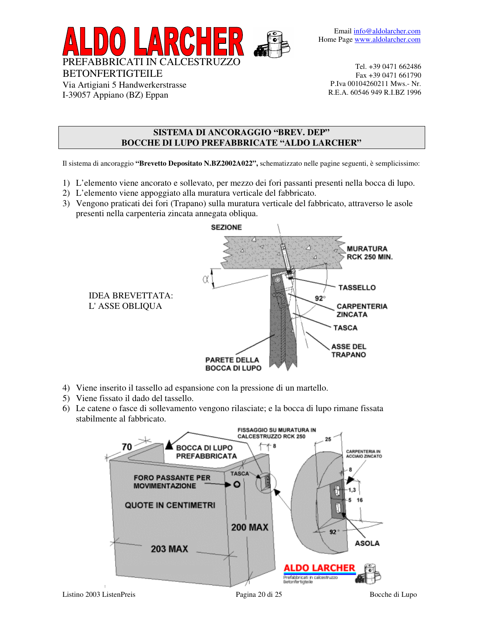

Via Artigiani 5 Handwerkerstrasse I-39057 Appiano (BZ) Eppan

Tel. +39 0471 662486 Fax +39 0471 661790 P.Iva 00104260211 Mws.- Nr. R.E.A. 60546 949 R.I.BZ 1996

#### **SISTEMA DI ANCORAGGIO "BREV. DEP" BOCCHE DI LUPO PREFABBRICATE "ALDO LARCHER"**

Il sistema di ancoraggio **"Brevetto Depositato N.BZ2002A022",** schematizzato nelle pagine seguenti, è semplicissimo:

- 1) L'elemento viene ancorato e sollevato, per mezzo dei fori passanti presenti nella bocca di lupo.
- 2) L'elemento viene appoggiato alla muratura verticale del fabbricato.
- 3) Vengono praticati dei fori (Trapano) sulla muratura verticale del fabbricato, attraverso le asole presenti nella carpenteria zincata annegata obliqua.



- 4) Viene inserito il tassello ad espansione con la pressione di un martello.
- 5) Viene fissato il dado del tassello.
- 6) Le catene o fasce di sollevamento vengono rilasciate; e la bocca di lupo rimane fissata stabilmente al fabbricato.

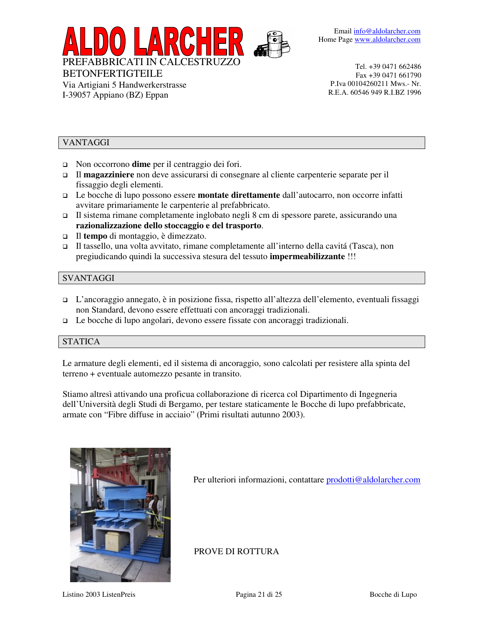Email info@aldolarcher.com Home Page www.aldolarcher.com



BETONFERTIGTEILE

Via Artigiani 5 Handwerkerstrasse I-39057 Appiano (BZ) Eppan

Tel. +39 0471 662486 Fax +39 0471 661790 P.Iva 00104260211 Mws.- Nr. R.E.A. 60546 949 R.I.BZ 1996

### VANTAGGI

- Non occorrono **dime** per il centraggio dei fori.
- Il **magazziniere** non deve assicurarsi di consegnare al cliente carpenterie separate per il fissaggio degli elementi.
- Le bocche di lupo possono essere **montate direttamente** dall'autocarro, non occorre infatti avvitare primariamente le carpenterie al prefabbricato.
- Il sistema rimane completamente inglobato negli 8 cm di spessore parete, assicurando una **razionalizzazione dello stoccaggio e del trasporto**.
- Il **tempo** di montaggio, è dimezzato.
- Il tassello, una volta avvitato, rimane completamente all'interno della cavitá (Tasca), non pregiudicando quindi la successiva stesura del tessuto **impermeabilizzante** !!!

### SVANTAGGI

- L'ancoraggio annegato, è in posizione fissa, rispetto all'altezza dell'elemento, eventuali fissaggi non Standard, devono essere effettuati con ancoraggi tradizionali.
- Le bocche di lupo angolari, devono essere fissate con ancoraggi tradizionali.

### **STATICA**

Le armature degli elementi, ed il sistema di ancoraggio, sono calcolati per resistere alla spinta del terreno + eventuale automezzo pesante in transito.

Stiamo altresì attivando una proficua collaborazione di ricerca col Dipartimento di Ingegneria dell'Università degli Studi di Bergamo, per testare staticamente le Bocche di lupo prefabbricate, armate con "Fibre diffuse in acciaio" (Primi risultati autunno 2003).



Per ulteriori informazioni, contattare prodotti@aldolarcher.com

PROVE DI ROTTURA

Listino 2003 ListenPreis Pagina 21 di 25 Bocche di Lupo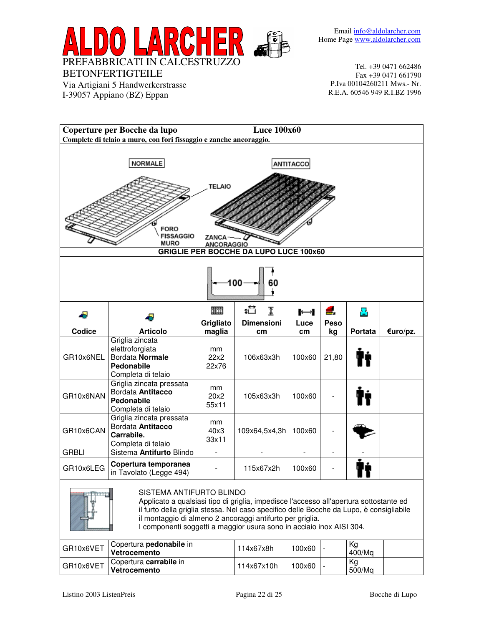

Via Artigiani 5 Handwerkerstrasse I-39057 Appiano (BZ) Eppan

Tel. +39 0471 662486 Fax +39 0471 661790 P.Iva 00104260211 Mws.- Nr. R.E.A. 60546 949 R.I.BZ 1996



il montaggio di almeno 2 ancoraggi antifurto per griglia. I componenti soggetti a maggior usura sono in acciaio inox AISI 304.

| GR10x6VET | Copertura <b>pedonabile</b> in<br>Vetrocemento | 114x67x8h  | 100x60 | Ka<br>400/Ma |  |
|-----------|------------------------------------------------|------------|--------|--------------|--|
| GR10x6VET | Copertura carrabile in<br>Vetrocemento         | 114x67x10h | 100x60 | Kg<br>500/Ma |  |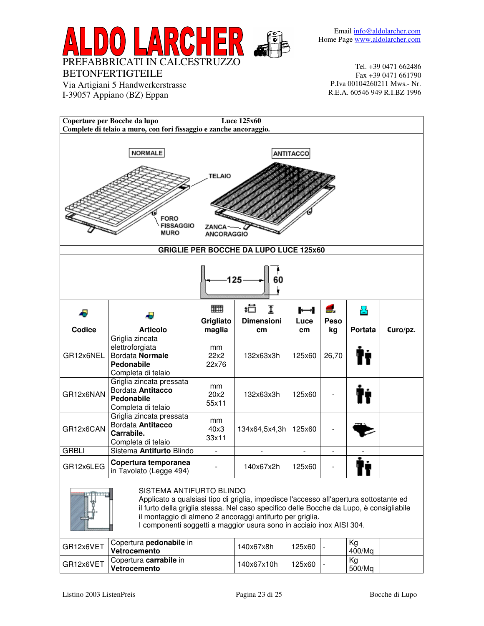

Via Artigiani 5 Handwerkerstrasse I-39057 Appiano (BZ) Eppan

Tel. +39 0471 662486 Fax +39 0471 661790 P.Iva 00104260211 Mws.- Nr. R.E.A. 60546 949 R.I.BZ 1996

|                                                                                                                                                                          | Coperture per Bocche da lupo                                                              |                     | <b>Luce 125x60</b>                |                                |                         |                     |          |  |
|--------------------------------------------------------------------------------------------------------------------------------------------------------------------------|-------------------------------------------------------------------------------------------|---------------------|-----------------------------------|--------------------------------|-------------------------|---------------------|----------|--|
|                                                                                                                                                                          | Complete di telaio a muro, con fori fissaggio e zanche ancoraggio.                        |                     |                                   |                                |                         |                     |          |  |
| <b>NORMALE</b><br>ANTITACCO<br><b>TELAIO</b><br><b>FORO</b><br><b>FISSAGGIO</b><br>ZANCA –<br>MURO<br><b>ANCORAGGIO</b><br><b>GRIGLIE PER BOCCHE DA LUPO LUCE 125x60</b> |                                                                                           |                     |                                   |                                |                         |                     |          |  |
|                                                                                                                                                                          |                                                                                           |                     |                                   |                                |                         |                     |          |  |
| 125                                                                                                                                                                      |                                                                                           |                     |                                   |                                |                         |                     |          |  |
| Codice                                                                                                                                                                   | <b>Articolo</b>                                                                           | Grigliato<br>maglia | 疸<br>Ţ<br><b>Dimensioni</b><br>cm | ┡━┪<br>Luce<br>cm <sub>2</sub> | ≝.<br><b>Peso</b><br>kg | Д<br><b>Portata</b> | €uro/pz. |  |
| GR12x6NEL                                                                                                                                                                | Griglia zincata<br>elettroforgiata<br>Bordata Normale<br>Pedonabile<br>Completa di telaio | mm<br>22x2<br>22x76 | 132x63x3h                         | 125x60                         | 26,70                   |                     |          |  |
| GR12x6NAN                                                                                                                                                                | Griglia zincata pressata<br>Bordata Antitacco<br>Pedonabile<br>Completa di telaio         | mm<br>20x2<br>55x11 | 132x63x3h                         | 125x60                         |                         |                     |          |  |
| GR12x6CAN                                                                                                                                                                | Griglia zincata pressata<br>Bordata Antitacco<br>Carrabile.<br>Completa di telaio         | mm<br>40x3<br>33x11 | 134x64,5x4,3h                     | 125x60                         |                         |                     |          |  |
| <b>GRBLI</b>                                                                                                                                                             | Sistema Antifurto Blindo                                                                  | $\blacksquare$      | $\overline{\phantom{a}}$          | $\blacksquare$                 | $\blacksquare$          |                     |          |  |
| GR12x6LEG                                                                                                                                                                | Copertura temporanea<br>in Tavolato (Legge 494)                                           |                     | 140x67x2h                         | 125x60                         |                         |                     |          |  |



#### SISTEMA ANTIFURTO BLINDO

Applicato a qualsiasi tipo di griglia, impedisce l'accesso all'apertura sottostante ed il furto della griglia stessa. Nel caso specifico delle Bocche da Lupo, è consigliabile il montaggio di almeno 2 ancoraggi antifurto per griglia.

I componenti soggetti a maggior usura sono in acciaio inox AISI 304.

| GR12x6VET | Copertura <b>pedonabile</b> in<br>Vetrocemento | 140x67x8h  | 125x60 | Kg<br>400/Ma |
|-----------|------------------------------------------------|------------|--------|--------------|
| GR12x6VET | Copertura carrabile in<br>Vetrocemento         | 140x67x10h | 125x60 | Kg<br>500/Ma |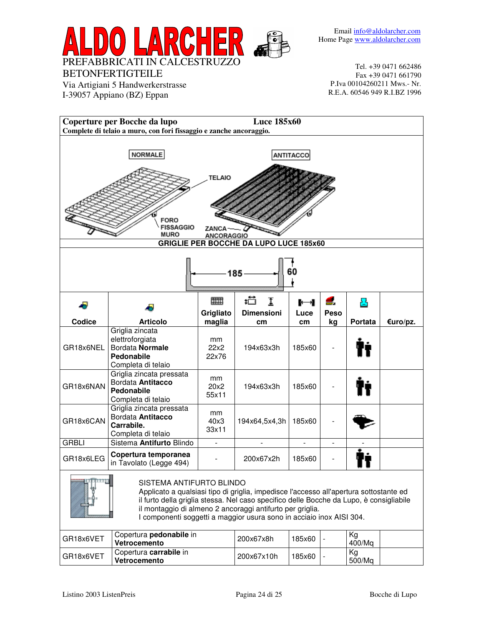

Via Artigiani 5 Handwerkerstrasse I-39057 Appiano (BZ) Eppan

Tel. +39 0471 662486 Fax +39 0471 661790 P.Iva 00104260211 Mws.- Nr. R.E.A. 60546 949 R.I.BZ 1996

| <b>Luce 185x60</b><br>Coperture per Bocche da lupo<br>Complete di telaio a muro, con fori fissaggio e zanche ancoraggio. |                                                                                                                                   |                |                                               |                          |                          |         |          |  |  |  |
|--------------------------------------------------------------------------------------------------------------------------|-----------------------------------------------------------------------------------------------------------------------------------|----------------|-----------------------------------------------|--------------------------|--------------------------|---------|----------|--|--|--|
|                                                                                                                          |                                                                                                                                   |                |                                               |                          |                          |         |          |  |  |  |
|                                                                                                                          | <b>NORMALE</b>                                                                                                                    |                |                                               | ANTITACCO                |                          |         |          |  |  |  |
|                                                                                                                          |                                                                                                                                   |                |                                               |                          |                          |         |          |  |  |  |
|                                                                                                                          | <b>TELAIO</b>                                                                                                                     |                |                                               |                          |                          |         |          |  |  |  |
|                                                                                                                          |                                                                                                                                   |                |                                               |                          |                          |         |          |  |  |  |
|                                                                                                                          |                                                                                                                                   |                |                                               |                          |                          |         |          |  |  |  |
|                                                                                                                          | <b>FORO</b><br><b>FISSAGGIO</b>                                                                                                   | ZANCA          |                                               |                          |                          |         |          |  |  |  |
|                                                                                                                          | MURO                                                                                                                              | ANCORAGGIO     | <b>GRIGLIE PER BOCCHE DA LUPO LUCE 185x60</b> |                          |                          |         |          |  |  |  |
|                                                                                                                          |                                                                                                                                   |                |                                               |                          |                          |         |          |  |  |  |
|                                                                                                                          |                                                                                                                                   |                |                                               | 60                       |                          |         |          |  |  |  |
|                                                                                                                          |                                                                                                                                   |                | 185                                           |                          |                          |         |          |  |  |  |
|                                                                                                                          |                                                                                                                                   |                | 护                                             |                          |                          |         |          |  |  |  |
|                                                                                                                          |                                                                                                                                   | Ⅲ<br>Grigliato | I<br><b>Dimensioni</b>                        | $\blacksquare$<br>Luce   | 2.<br>Peso               | Ł.      |          |  |  |  |
| Codice                                                                                                                   | <b>Articolo</b>                                                                                                                   | maglia         | cm                                            | cm                       | kg                       | Portata | €uro/pz. |  |  |  |
|                                                                                                                          | Griglia zincata<br>elettroforgiata                                                                                                | mm             |                                               |                          |                          |         |          |  |  |  |
| GR18x6NEL                                                                                                                | Bordata Normale                                                                                                                   | 22x2           | 194x63x3h                                     | 185x60                   |                          |         |          |  |  |  |
|                                                                                                                          | Pedonabile<br>Completa di telaio                                                                                                  | 22x76          |                                               |                          |                          |         |          |  |  |  |
|                                                                                                                          | Griglia zincata pressata<br>Bordata Antitacco                                                                                     | mm             |                                               |                          |                          |         |          |  |  |  |
| GR18x6NAN                                                                                                                | Pedonabile                                                                                                                        | 20x2<br>55x11  | 194x63x3h                                     | 185x60                   |                          |         |          |  |  |  |
|                                                                                                                          | Completa di telaio<br>Griglia zincata pressata                                                                                    |                |                                               |                          |                          |         |          |  |  |  |
| GR18x6CAN                                                                                                                | Bordata Antitacco                                                                                                                 | mm<br>40x3     | 194x64,5x4,3h                                 | 185x60                   |                          |         |          |  |  |  |
|                                                                                                                          | Carrabile.<br>Completa di telaio                                                                                                  | 33x11          |                                               |                          |                          |         |          |  |  |  |
| <b>GRBLI</b>                                                                                                             | Sistema Antifurto Blindo                                                                                                          | $\blacksquare$ |                                               | $\overline{\phantom{a}}$ | $\overline{\phantom{0}}$ |         |          |  |  |  |
| GR18x6LEG                                                                                                                | Copertura temporanea<br>in Tavolato (Legge 494)                                                                                   |                | 200x67x2h                                     | 185x60                   |                          |         |          |  |  |  |
|                                                                                                                          |                                                                                                                                   |                |                                               |                          |                          |         |          |  |  |  |
|                                                                                                                          | SISTEMA ANTIFURTO BLINDO<br>Applicato a qualsiasi tipo di griglia, impedisce l'accesso all'apertura sottostante ed                |                |                                               |                          |                          |         |          |  |  |  |
|                                                                                                                          | il furto della griglia stessa. Nel caso specifico delle Bocche da Lupo, è consigliabile                                           |                |                                               |                          |                          |         |          |  |  |  |
|                                                                                                                          | il montaggio di almeno 2 ancoraggi antifurto per griglia.<br>I componenti soggetti a maggior usura sono in acciaio inox AISI 304. |                |                                               |                          |                          |         |          |  |  |  |
|                                                                                                                          | Copertura pedonabile in                                                                                                           |                |                                               |                          |                          | Kg      |          |  |  |  |
| GR18x6VET                                                                                                                | Vetrocemento                                                                                                                      |                | 200x67x8h                                     | 185x60                   |                          | 400/Mq  |          |  |  |  |

Copertura **carrabile** in **Vetrocemento**

GR18x6VET

200x67x10h 185x60 -

Kg 500/Mq